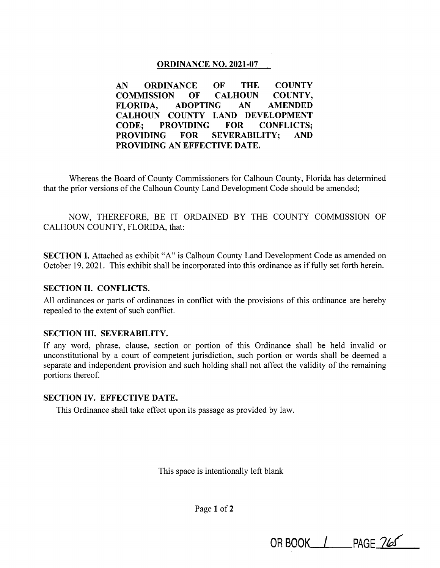## **ORDINANCE NO. 2021-07**

**AN ORDINANCE OF THE COUNTY COMMISSION OF CALHOUN COUNTY, FLORIDA, ADOPTING AN AMENDED CALHOUN COUNTY LAND DEVELOPMENT CODE; PROVIDING FOR CONFLICTS; PROVIDING FOR SEVERABILITY; AND PROVIDING AN EFFECTIVE DATE.** 

Whereas the Board of County Commissioners for Calhoun County, Florida has determined that the prior versions of the Calhoun County Land Development Code should be amended;

NOW, THEREFORE, BE IT ORDAINED BY THE COUNTY COMMISSION OF CALHOUN COUNTY, FLORIDA, that:

**SECTION** I. Attached as exhibit "A" is Calhoun County Land Development Code as amended on October 19, 2021. This exhibit shall be incorporated into this ordinance as if fully set forth herein.

## **SECTION II. CONFLICTS.**

All ordinances or parts of ordinances in conflict with the provisions of this ordinance are hereby repealed to the extent of such conflict.

## **SECTION III. SEVERABILITY.**

If any word, phrase, clause, section or portion of this Ordinance shall be held invalid or unconstitutional by a court of competent jurisdiction, such portion or words shall be deemed a separate and independent provision and such holding shall not affect the validity of the remaining portions thereof.

## **SECTION IV. EFFECTIVE DATE.**

This Ordinance shall take effect upon its passage as provided by law.

This space is intentionally left blank

Page **1** of2

**OR BOOK\_/ \_PAGE** *7M*